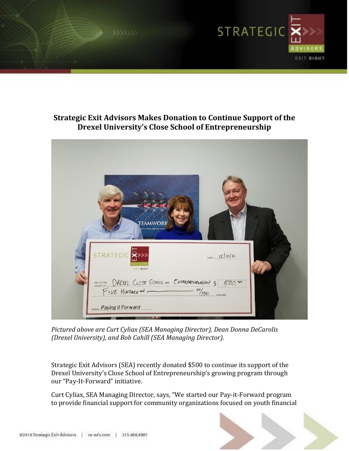

## **Strategic Exit Advisors Makes Donation to Continue Support of the Drexel University's Close School of Entrepreneurship**



*Pictured above are Curt Cyliax (SEA Managing Director), Dean Donna DeCarolis (Drexel University), and Bob Cahill (SEA Managing Director).*

Strategic Exit Advisors (SEA) recently donated \$500 to continue its support of the Drexel University's Close School of Entrepreneurship's growing program through our "Pay-It-Forward" initiative.

Curt Cyliax, SEA Managing Director, says, "We started our Pay-it-Forward program to provide financial support for community organizations focused on youth financial

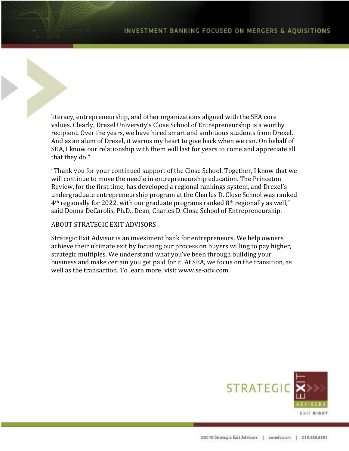literacy, entrepreneurship, and other organizations aligned with the SEA core values. Clearly, Drexel University's Close School of Entrepreneurship is a worthy recipient. Over the years, we have hired smart and ambitious students from Drexel. And as an alum of Drexel, it warms my heart to give back when we can. On behalf of SEA, I know our relationship with them will last for years to come and appreciate all that they do."

"Thank you for your continued support of the Close School. Together, I know that we will continue to move the needle in entrepreneurship education. The Princeton Review, for the first time, has developed a regional rankings system, and Drexel's undergraduate entrepreneurship program at the Charles D. Close School was ranked 4th regionally for 2022, with our graduate programs ranked 8th regionally as well," said Donna DeCarolis, Ph.D., Dean, Charles D. Close School of Entrepreneurship.

## ABOUT STRATEGIC EXIT ADVISORS

Strategic Exit Advisor is an investment bank for entrepreneurs. We help owners achieve their ultimate exit by focusing our process on buyers willing to pay higher, strategic multiples. We understand what you've been through building your business and make certain you get paid for it. At SEA, we focus on the transition, as well as the transaction. To learn more, visit www.se-adv.com.